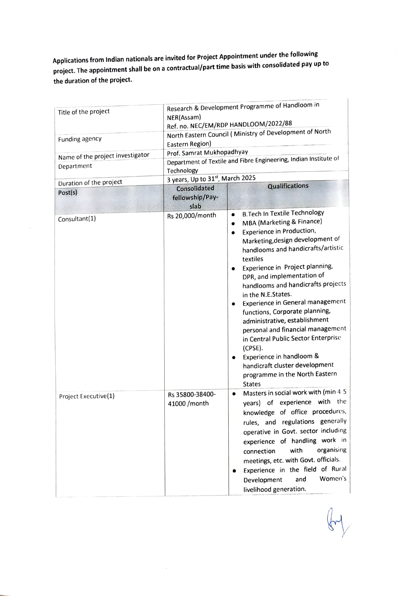Applications from Indian nationals are invited for Project Appointment under the following project. The appointment shall be on a contractual/part time basis with consolidated pay up to the duration of the project.

| Title of the project                           | Research & Development Programme of Handloom in<br>NER(Assam)<br>Ref. no. NEC/EM/RDP HANDLOOM/2022/88                                                                                     |                                                                                                                                                                                                                                                                                                                                                                                                                                                                                                                                                                                                                                                                                                               |  |
|------------------------------------------------|-------------------------------------------------------------------------------------------------------------------------------------------------------------------------------------------|---------------------------------------------------------------------------------------------------------------------------------------------------------------------------------------------------------------------------------------------------------------------------------------------------------------------------------------------------------------------------------------------------------------------------------------------------------------------------------------------------------------------------------------------------------------------------------------------------------------------------------------------------------------------------------------------------------------|--|
| Funding agency                                 | North Eastern Council (Ministry of Development of North<br>Eastern Region)<br>Prof. Samrat Mukhopadhyay<br>Department of Textile and Fibre Engineering, Indian Institute of<br>Technology |                                                                                                                                                                                                                                                                                                                                                                                                                                                                                                                                                                                                                                                                                                               |  |
| Name of the project investigator<br>Department |                                                                                                                                                                                           |                                                                                                                                                                                                                                                                                                                                                                                                                                                                                                                                                                                                                                                                                                               |  |
| Duration of the project                        | 3 years, Up to 31st, March 2025<br><b>Qualifications</b>                                                                                                                                  |                                                                                                                                                                                                                                                                                                                                                                                                                                                                                                                                                                                                                                                                                                               |  |
| Post(s)                                        | Consolidated<br>fellowship/Pay-<br>slab                                                                                                                                                   |                                                                                                                                                                                                                                                                                                                                                                                                                                                                                                                                                                                                                                                                                                               |  |
| Consultant(1)                                  | Rs 20,000/month                                                                                                                                                                           | <b>B.Tech In Textile Technology</b><br>$\bullet$<br>MBA (Marketing & Finance)<br>$\bullet$<br>Experience in Production,<br>$\bullet$<br>Marketing, design development of<br>handlooms and handicrafts/artistic<br>textiles<br>Experience in Project planning,<br>$\bullet$<br>DPR, and implementation of<br>handlooms and handicrafts projects<br>in the N.E.States.<br>Experience in General management<br>$\bullet$<br>functions, Corporate planning,<br>administrative, establishment<br>personal and financial management<br>in Central Public Sector Enterprise<br>(CPSE).<br>Experience in handloom &<br>$\bullet$<br>handicraft cluster development<br>programme in the North Eastern<br><b>States</b> |  |
| Project Executive(1)                           | Rs 35800-38400-<br>41000 / month                                                                                                                                                          | Masters in social work with (min 4-5<br>$\bullet$<br>years) of experience with the<br>knowledge of office procedures,<br>rules, and regulations generally<br>operative in Govt. sector including<br>experience of handling work in<br>organising<br>with<br>connection<br>meetings, etc. with Govt. officials.<br>Experience in the field of Rural<br>Women's<br>and<br>Development<br>livelihood generation.                                                                                                                                                                                                                                                                                                 |  |

 $\bar{\gamma}$ 

 $\bar{\alpha}$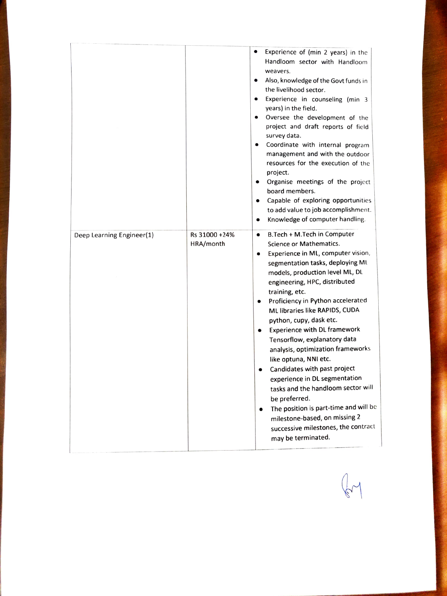|                           |                            | $\bullet$<br>Experience of (min 2 years) in the<br>Handloom sector with Handloom<br>weavers.<br>Also, knowledge of the Govt funds in<br>the livelihood sector.<br>Experience in counseling (min 3<br>$\bullet$<br>years) in the field.<br>Oversee the development of the<br>project and draft reports of field<br>survey data.<br>Coordinate with internal program<br>$\bullet$<br>management and with the outdoor<br>resources for the execution of the<br>project.<br>Organise meetings of the project<br>$\bullet$<br>board members.<br>Capable of exploring opportunities<br>to add value to job accomplishment.<br>Knowledge of computer handling.<br>$\bullet$                                                                      |
|---------------------------|----------------------------|-------------------------------------------------------------------------------------------------------------------------------------------------------------------------------------------------------------------------------------------------------------------------------------------------------------------------------------------------------------------------------------------------------------------------------------------------------------------------------------------------------------------------------------------------------------------------------------------------------------------------------------------------------------------------------------------------------------------------------------------|
| Deep Learning Engineer(1) | Rs 31000 +24%<br>HRA/month | B.Tech + M.Tech in Computer<br>$\bullet$<br>Science or Mathematics.<br>Experience in ML, computer vision,<br>segmentation tasks, deploying ML<br>models, production level ML, DL<br>engineering, HPC, distributed<br>training, etc.<br>Proficiency in Python accelerated<br>ML libraries like RAPIDS, CUDA<br>python, cupy, dask etc.<br><b>Experience with DL framework</b><br>Tensorflow, explanatory data<br>analysis, optimization frameworks<br>like optuna, NNI etc.<br>Candidates with past project<br>experience in DL segmentation<br>tasks and the handloom sector will<br>be preferred.<br>The position is part-time and will be<br>milestone-based, on missing 2<br>successive milestones, the contract<br>may be terminated. |

 $\mathbb{C}$